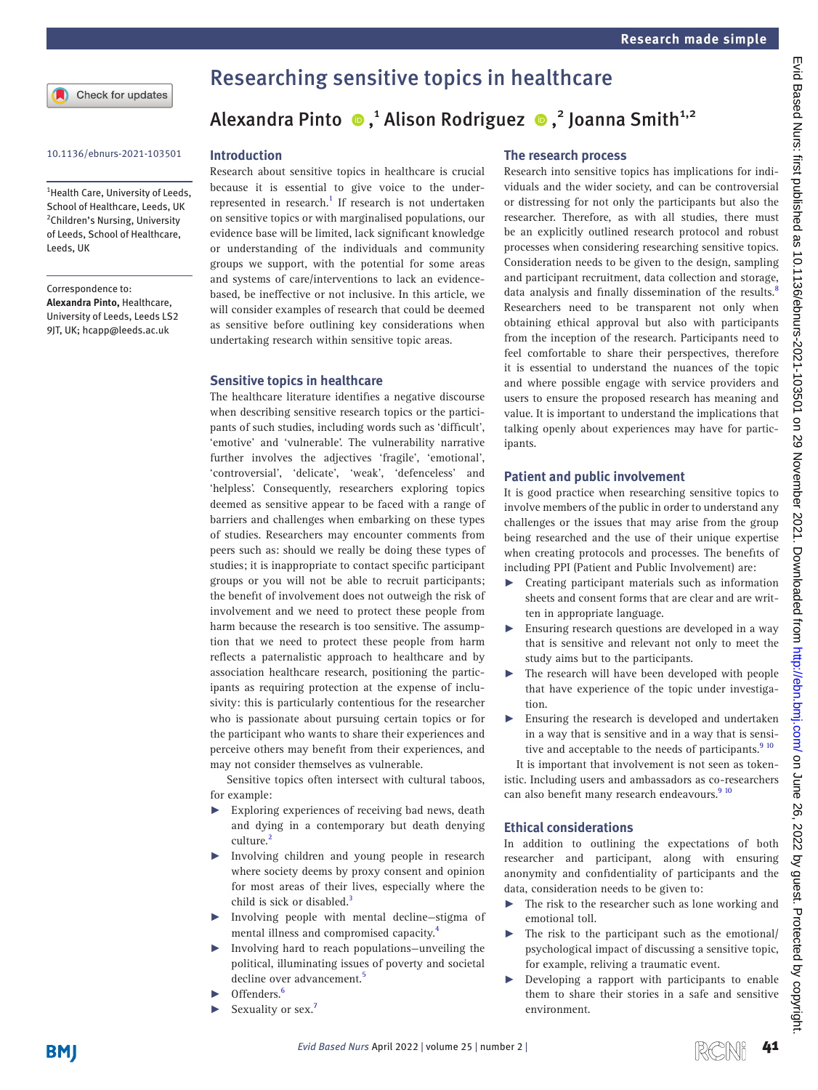Check for updates

<sup>1</sup> Health Care, University of Leeds, School of Healthcare, Leeds, UK <sup>2</sup>Children's Nursing, University of Leeds, School of Healthcare, Leeds, UK

Correspondence to:

*Alexandra Pinto,* Healthcare, University of Leeds, Leeds LS2 9JT, UK; hcapp@leeds.ac.uk

# Researching sensitive topics in healthcare

# Alexandra Pinto  $\bullet$ ,<sup>1</sup> Alison Rodriguez  $\bullet$ ,<sup>2</sup> Joanna Smith<sup>1,2</sup>

# 10.1136/ebnurs-2021-103501 **Introduction**

Research about sensitive topics in healthcare is crucial because it is essential to give voice to the under-represented in research.<sup>[1](#page-2-0)</sup> If research is not undertaken on sensitive topics or with marginalised populations, our evidence base will be limited, lack significant knowledge or understanding of the individuals and community groups we support, with the potential for some areas and systems of care/interventions to lack an evidencebased, be ineffective or not inclusive. In this article, we will consider examples of research that could be deemed as sensitive before outlining key considerations when undertaking research within sensitive topic areas.

#### **Sensitive topics in healthcare**

The healthcare literature identifies a negative discourse when describing sensitive research topics or the participants of such studies, including words such as 'difficult', 'emotive' and 'vulnerable'. The vulnerability narrative further involves the adjectives 'fragile', 'emotional', 'controversial', 'delicate', 'weak', 'defenceless' and 'helpless'. Consequently, researchers exploring topics deemed as sensitive appear to be faced with a range of barriers and challenges when embarking on these types of studies. Researchers may encounter comments from peers such as: should we really be doing these types of studies; it is inappropriate to contact specific participant groups or you will not be able to recruit participants; the benefit of involvement does not outweigh the risk of involvement and we need to protect these people from harm because the research is too sensitive. The assumption that we need to protect these people from harm reflects a paternalistic approach to healthcare and by association healthcare research, positioning the participants as requiring protection at the expense of inclusivity: this is particularly contentious for the researcher who is passionate about pursuing certain topics or for the participant who wants to share their experiences and perceive others may benefit from their experiences, and may not consider themselves as vulnerable.

Sensitive topics often intersect with cultural taboos, for example:

- Exploring experiences of receiving bad news, death and dying in a contemporary but death denying culture.<sup>2</sup>
- Involving children and young people in research where society deems by proxy consent and opinion for most areas of their lives, especially where the child is sick or disabled.<sup>3</sup>
- Involving people with mental decline-stigma of mental illness and compromised capacity.<sup>4</sup>
- Involving hard to reach populations—unveiling the political, illuminating issues of poverty and societal decline over advancement.<sup>[5](#page-2-4)</sup>
- Offenders.<sup>[6](#page-2-5)</sup>
- Sexuality or sex.<sup>7</sup>

### **The research process**

Research into sensitive topics has implications for individuals and the wider society, and can be controversial or distressing for not only the participants but also the researcher. Therefore, as with all studies, there must be an explicitly outlined research protocol and robust processes when considering researching sensitive topics. Consideration needs to be given to the design, sampling and participant recruitment, data collection and storage, data analysis and finally dissemination of the results.<sup>[8](#page-2-7)</sup> Researchers need to be transparent not only when obtaining ethical approval but also with participants from the inception of the research. Participants need to feel comfortable to share their perspectives, therefore it is essential to understand the nuances of the topic and where possible engage with service providers and users to ensure the proposed research has meaning and value. It is important to understand the implications that talking openly about experiences may have for participants.

### **Patient and public involvement**

It is good practice when researching sensitive topics to involve members of the public in order to understand any challenges or the issues that may arise from the group being researched and the use of their unique expertise when creating protocols and processes. The benefits of including PPI (Patient and Public Involvement) are:

- ► Creating participant materials such as information sheets and consent forms that are clear and are written in appropriate language.
- ► Ensuring research questions are developed in a way that is sensitive and relevant not only to meet the study aims but to the participants.
- The research will have been developed with people that have experience of the topic under investigation.
- ► Ensuring the research is developed and undertaken in a way that is sensitive and in a way that is sensitive and acceptable to the needs of participants.<sup>9 10</sup>

It is important that involvement is not seen as tokenistic. Including users and ambassadors as co-researchers can also benefit many research endeavours.<sup>[9 10](#page-2-8)</sup>

#### **Ethical considerations**

In addition to outlining the expectations of both researcher and participant, along with ensuring anonymity and confidentiality of participants and the data, consideration needs to be given to:

- ► The risk to the researcher such as lone working and emotional toll.
- The risk to the participant such as the emotional/ psychological impact of discussing a sensitive topic, for example, reliving a traumatic event.
- ► Developing a rapport with participants to enable them to share their stories in a safe and sensitive environment.

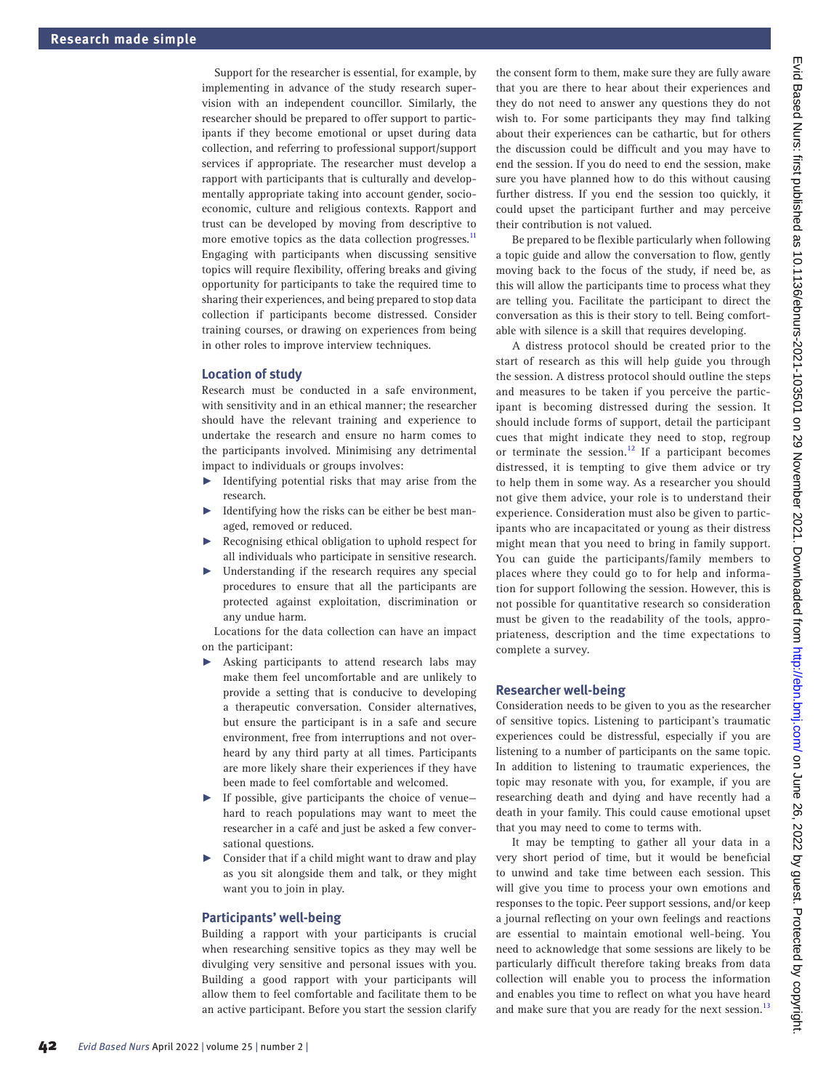Support for the researcher is essential, for example, by implementing in advance of the study research supervision with an independent councillor. Similarly, the researcher should be prepared to offer support to participants if they become emotional or upset during data collection, and referring to professional support/support services if appropriate. The researcher must develop a rapport with participants that is culturally and developmentally appropriate taking into account gender, socioeconomic, culture and religious contexts. Rapport and trust can be developed by moving from descriptive to more emotive topics as the data collection progresses.<sup>[11](#page-2-9)</sup> Engaging with participants when discussing sensitive topics will require flexibility, offering breaks and giving opportunity for participants to take the required time to sharing their experiences, and being prepared to stop data collection if participants become distressed. Consider training courses, or drawing on experiences from being in other roles to improve interview techniques.

#### **Location of study**

Research must be conducted in a safe environment, with sensitivity and in an ethical manner; the researcher should have the relevant training and experience to undertake the research and ensure no harm comes to the participants involved. Minimising any detrimental impact to individuals or groups involves:

- ► Identifying potential risks that may arise from the research.
- Identifying how the risks can be either be best managed, removed or reduced.
- Recognising ethical obligation to uphold respect for all individuals who participate in sensitive research.
- Understanding if the research requires any special procedures to ensure that all the participants are protected against exploitation, discrimination or any undue harm.

Locations for the data collection can have an impact on the participant:

- ► Asking participants to attend research labs may make them feel uncomfortable and are unlikely to provide a setting that is conducive to developing a therapeutic conversation. Consider alternatives, but ensure the participant is in a safe and secure environment, free from interruptions and not overheard by any third party at all times. Participants are more likely share their experiences if they have been made to feel comfortable and welcomed.
- If possible, give participants the choice of venuehard to reach populations may want to meet the researcher in a café and just be asked a few conversational questions.
- Consider that if a child might want to draw and play as you sit alongside them and talk, or they might want you to join in play.

#### **Participants' well-being**

Building a rapport with your participants is crucial when researching sensitive topics as they may well be divulging very sensitive and personal issues with you. Building a good rapport with your participants will allow them to feel comfortable and facilitate them to be an active participant. Before you start the session clarify

the consent form to them, make sure they are fully aware that you are there to hear about their experiences and they do not need to answer any questions they do not wish to. For some participants they may find talking about their experiences can be cathartic, but for others the discussion could be difficult and you may have to end the session. If you do need to end the session, make sure you have planned how to do this without causing further distress. If you end the session too quickly, it could upset the participant further and may perceive their contribution is not valued.

Be prepared to be flexible particularly when following a topic guide and allow the conversation to flow, gently moving back to the focus of the study, if need be, as this will allow the participants time to process what they are telling you. Facilitate the participant to direct the conversation as this is their story to tell. Being comfortable with silence is a skill that requires developing.

A distress protocol should be created prior to the start of research as this will help guide you through the session. A distress protocol should outline the steps and measures to be taken if you perceive the participant is becoming distressed during the session. It should include forms of support, detail the participant cues that might indicate they need to stop, regroup or terminate the session.<sup>12</sup> If a participant becomes distressed, it is tempting to give them advice or try to help them in some way. As a researcher you should not give them advice, your role is to understand their experience. Consideration must also be given to participants who are incapacitated or young as their distress might mean that you need to bring in family support. You can guide the participants/family members to places where they could go to for help and information for support following the session. However, this is not possible for quantitative research so consideration must be given to the readability of the tools, appropriateness, description and the time expectations to complete a survey.

#### **Researcher well-being**

Consideration needs to be given to you as the researcher of sensitive topics. Listening to participant's traumatic experiences could be distressful, especially if you are listening to a number of participants on the same topic. In addition to listening to traumatic experiences, the topic may resonate with you, for example, if you are researching death and dying and have recently had a death in your family. This could cause emotional upset that you may need to come to terms with.

It may be tempting to gather all your data in a very short period of time, but it would be beneficial to unwind and take time between each session. This will give you time to process your own emotions and responses to the topic. Peer support sessions, and/or keep a journal reflecting on your own feelings and reactions are essential to maintain emotional well-being. You need to acknowledge that some sessions are likely to be particularly difficult therefore taking breaks from data collection will enable you to process the information and enables you time to reflect on what you have heard and make sure that you are ready for the next session.<sup>1</sup>